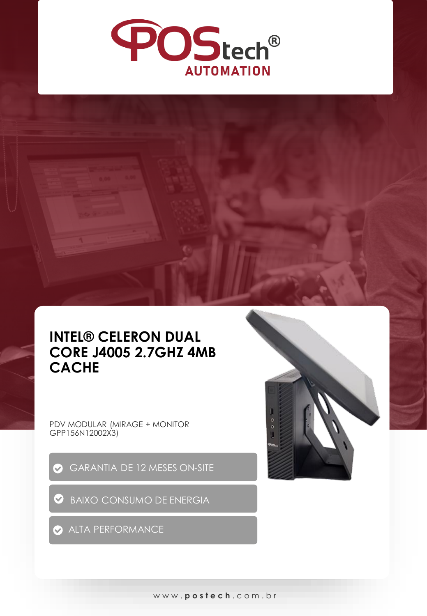

## **INTEL® CELERON DUAL CORE J4005 2.7GHZ 4MB CACHE**

PDV MODULAR (MIRAGE + MONITOR GPP156N12002X3)

- GARANTIA DE 12 MESES ON-SITE
- **BAIXO CONSUMO DE ENERGIA**

ALTA PERFORMANCE



www. **postech** . c o m . b r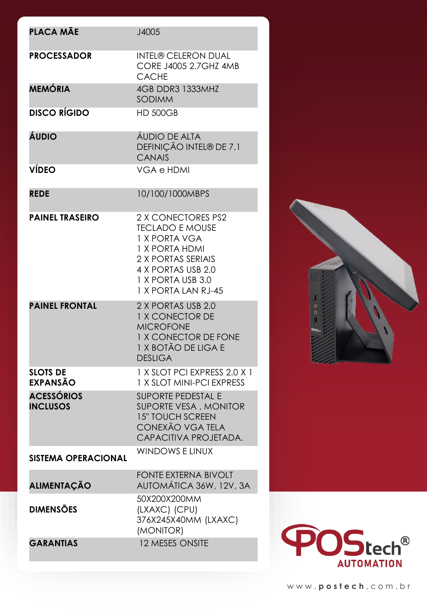| PLACA MÃE                            | J4005                                                                                                                                                                   |
|--------------------------------------|-------------------------------------------------------------------------------------------------------------------------------------------------------------------------|
|                                      |                                                                                                                                                                         |
| <b>PROCESSADOR</b>                   | <b>INTEL® CELERON DUAL</b><br>CORE J4005 2.7GHZ 4MB<br><b>CACHE</b>                                                                                                     |
| <b>MEMÓRIA</b>                       | 4GB DDR3 1333MHZ<br><b>SODIMM</b>                                                                                                                                       |
| <b>DISCO RÍGIDO</b>                  | <b>HD 500GB</b>                                                                                                                                                         |
| ÁUDIO                                | ÁUDIO DE ALTA<br>DEFINIÇÃO INTEL® DE 7.1<br><b>CANAIS</b>                                                                                                               |
| <b>VÍDEO</b>                         | <b>VGA e HDMI</b>                                                                                                                                                       |
| <b>REDE</b>                          | 10/100/1000MBPS                                                                                                                                                         |
| <b>PAINEL TRASEIRO</b>               | 2 X CONECTORES PS2<br><b>TECLADO E MOUSE</b><br>1 X PORTA VGA<br>1 X PORTA HDMI<br>2 X PORTAS SERIAIS<br>4 X PORTAS USB 2.0<br>1 X PORTA USB 3.0<br>1 X PORTA LAN RJ-45 |
| <b>PAINEL FRONTAL</b>                | 2 X PORTAS USB 2.0<br><b>1 X CONECTOR DE</b><br><b>MICROFONE</b><br>1 X CONECTOR DE FONE<br>1 X BOTÃO DE LIGA E<br><b>DESLIGA</b>                                       |
| <b>SLOTS DE</b><br><b>EXPANSÃO</b>   | 1 X SLOT PCI EXPRESS 2.0 X 1<br>1 X SLOT MINI-PCI EXPRESS                                                                                                               |
| <b>ACESSÓRIOS</b><br><b>INCLUSOS</b> | <b>SUPORTE PEDESTAL E</b><br>SUPORTE VESA, MONITOR<br><b>15" TOUCH SCREEN</b><br>CONEXÃO VGA TELA<br>CAPACITIVA PROJETADA.                                              |
| <b>SISTEMA OPERACIONAL</b>           | <b>WINDOWS E LINUX</b>                                                                                                                                                  |
| <b>ALIMENTAÇÃO</b>                   | <b>FONTE EXTERNA BIVOLT</b><br>AUTOMÁTICA 36W, 12V, 3A                                                                                                                  |
| <b>DIMENSÕES</b>                     | 50X200X200MM<br>(LXAXC) (CPU)<br>376X245X40MM (LXAXC)<br>(MONITOR)                                                                                                      |
| <b>GARANTIAS</b>                     | 12 MESES ONSITE                                                                                                                                                         |



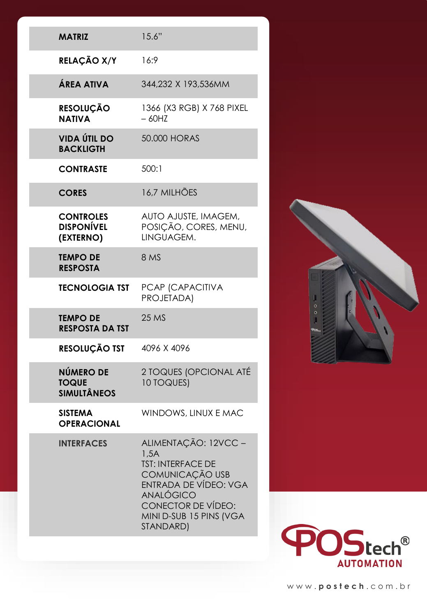| <b>MATRIZ</b>                                      | 15.6"                                                                                                                                                                                         |
|----------------------------------------------------|-----------------------------------------------------------------------------------------------------------------------------------------------------------------------------------------------|
| RELAÇÃO X/Y                                        | 16:9                                                                                                                                                                                          |
| ÁREA ATIVA                                         | 344,232 X 193,536MM                                                                                                                                                                           |
| RESOLUÇÃO<br><b>NATIVA</b>                         | 1366 (X3 RGB) X 768 PIXEL<br>$-60HZ$                                                                                                                                                          |
| <b>VIDA ÚTIL DO</b><br><b>BACKLIGTH</b>            | 50.000 HORAS                                                                                                                                                                                  |
| <b>CONTRASTE</b>                                   | 500:1                                                                                                                                                                                         |
| <b>CORES</b>                                       | 16,7 MILHÕES                                                                                                                                                                                  |
| <b>CONTROLES</b><br><b>DISPONÍVEL</b><br>(EXTERNO) | AUTO AJUSTE, IMAGEM,<br>POSIÇÃO, CORES, MENU,<br>LINGUAGEM.                                                                                                                                   |
| <b>TEMPO DE</b><br><b>RESPOSTA</b>                 | 8 MS                                                                                                                                                                                          |
| <b>TECNOLOGIA TST</b>                              | PCAP (CAPACITIVA<br>PROJETADA)                                                                                                                                                                |
| <b>TEMPO DE</b><br><b>RESPOSTA DA TST</b>          | 25 MS                                                                                                                                                                                         |
| RESOLUÇÃO TST                                      | 4096 X 4096                                                                                                                                                                                   |
| NÚMERO DE<br><b>TOQUE</b><br><b>SIMULTÂNEOS</b>    | 2 TOQUES (OPCIONAL ATÉ<br>10 TOQUES)                                                                                                                                                          |
| <b>SISTEMA</b><br><b>OPERACIONAL</b>               | WINDOWS, LINUX E MAC                                                                                                                                                                          |
| <b>INTERFACES</b>                                  | ALIMENTAÇÃO: 12VCC -<br>1,5A<br><b>TST: INTERFACE DE</b><br>COMUNICAÇÃO USB<br>ENTRADA DE VÍDEO: VGA<br><b>ANALÓGICO</b><br><b>CONECTOR DE VÍDEO:</b><br>MINI D-SUB 15 PINS (VGA<br>STANDARD) |

I

F